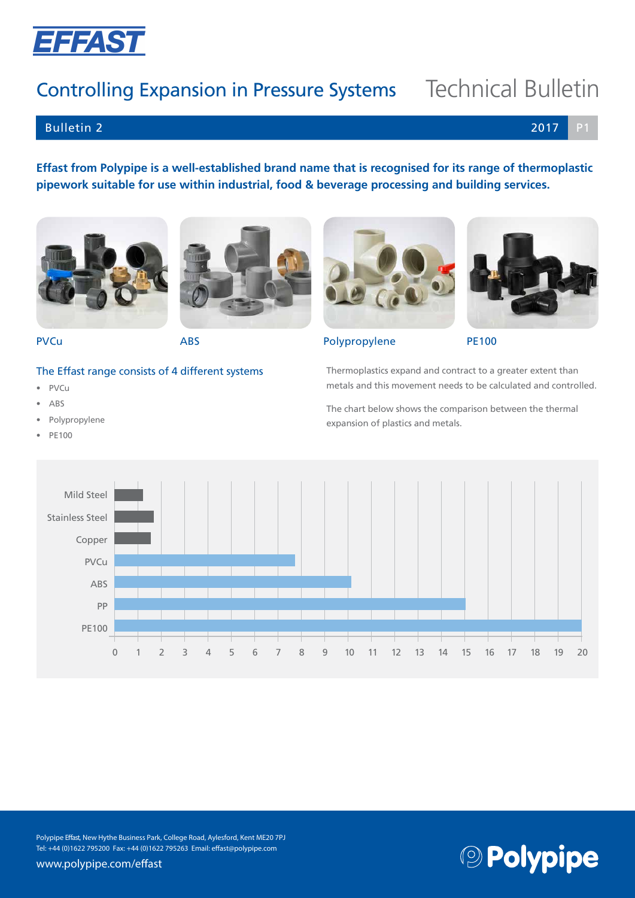

## Controlling Expansion in Pressure Systems Technical Bulletin

## Bulletin 2 2017 P1

**Effast from Polypipe is a well-established brand name that is recognised for its range of thermoplastic pipework suitable for use within industrial, food & beverage processing and building services.**





#### The Effast range consists of 4 different systems

- PVCu
- ABS
- Polypropylene
- PE100



PVCu ABS ABS Polypropylene PE100

Thermoplastics expand and contract to a greater extent than metals and this movement needs to be calculated and controlled.

The chart below shows the comparison between the thermal expansion of plastics and metals.



Polypipe Effast, New Hythe Business Park, College Road, Aylesford, Kent ME20 7PJ Tel: +44 (0)1622 795200 Fax: +44 (0)1622 795263 Email: effast@polypipe.com

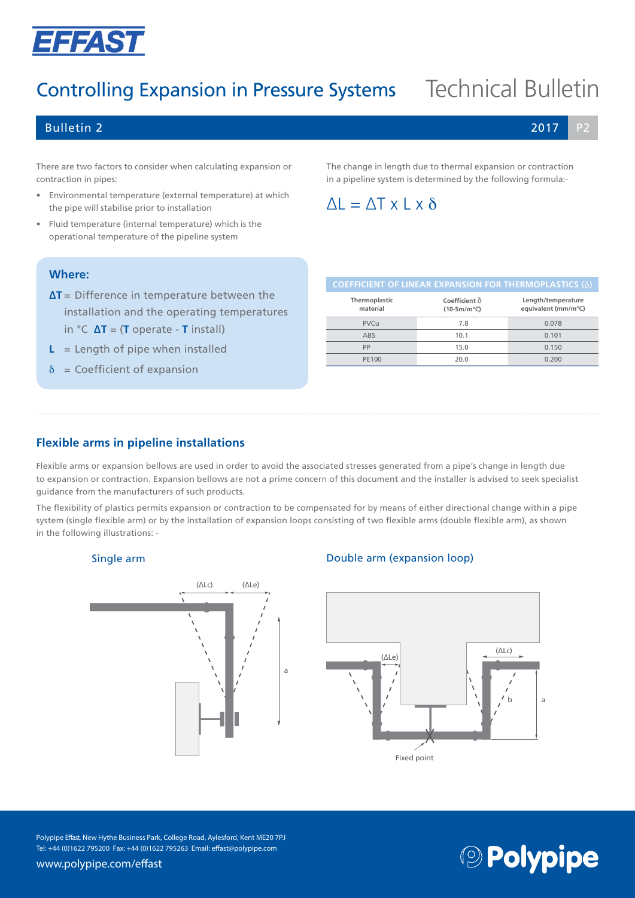

## Controlling Expansion in Pressure Systems Technical Bulletin

### Bulletin 2 2017 P2

There are two factors to consider when calculating expansion or contraction in pipes:

- Environmental temperature (external temperature) at which the pipe will stabilise prior to installation
- Fluid temperature (internal temperature) which is the operational temperature of the pipeline system

The change in length due to thermal expansion or contraction in a pipeline system is determined by the following formula:-

## $\Delta L = \Delta T \times L \times \delta$

#### **Where:**

**∆T** = Difference in temperature between the installation and the operating temperatures in °C **∆T** = (**T** operate - **T** install)

- $L =$  Length of pipe when installed
- $\delta$  = Coefficient of expansion

| <b>COEFFICIENT OF LINEAR EAFAINSION FOR THERINIOFLASTICS</b> (0) |                                           |  |  |  |
|------------------------------------------------------------------|-------------------------------------------|--|--|--|
| Coefficient $\delta$<br>$(10-5m/m^{\circ}C)$                     | Length/temperature<br>equivalent (mm/m°C) |  |  |  |
| 7.8                                                              | 0.078                                     |  |  |  |
| 10.1                                                             | 0.101                                     |  |  |  |
| 15.0                                                             | 0.150                                     |  |  |  |
| 20.0                                                             | 0.200                                     |  |  |  |
|                                                                  |                                           |  |  |  |

**COEFFICIENT OF LINEAR EXPANSION FOR THERMOPLASTICS** (b)

### **Flexible arms in pipeline installations**

Flexible arms or expansion bellows are used in order to avoid the associated stresses generated from a pipe's change in length due to expansion or contraction. Expansion bellows are not a prime concern of this document and the installer is advised to seek specialist guidance from the manufacturers of such products.

The flexibility of plastics permits expansion or contraction to be compensated for by means of either directional change within a pipe system (single flexible arm) or by the installation of expansion loops consisting of two flexible arms (double flexible arm), as shown in the following illustrations: -

#### Single arm



### Double arm (expansion loop)



Polypipe Effast, New Hythe Business Park, College Road, Aylesford, Kent ME20 7PJ Tel: +44 (0)1622 795200 Fax: +44 (0)1622 795263 Email: effast@polypipe.com

**© Polypipe** 

www.polypipe.com/effast